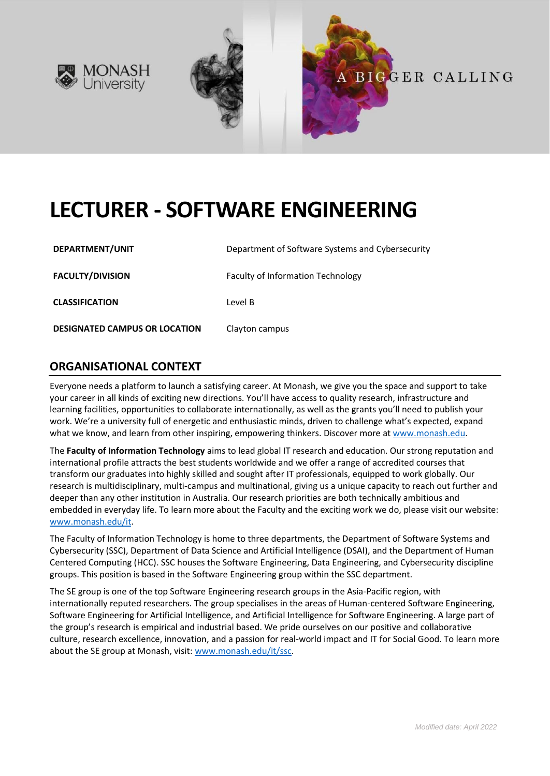



# **LECTURER - SOFTWARE ENGINEERING**

| DEPARTMENT/UNIT                      | Department of Software Systems and Cybersecurity |
|--------------------------------------|--------------------------------------------------|
| <b>FACULTY/DIVISION</b>              | <b>Faculty of Information Technology</b>         |
| <b>CLASSIFICATION</b>                | Level B                                          |
| <b>DESIGNATED CAMPUS OR LOCATION</b> | Clayton campus                                   |

# **ORGANISATIONAL CONTEXT**

Everyone needs a platform to launch a satisfying career. At Monash, we give you the space and support to take your career in all kinds of exciting new directions. You'll have access to quality research, infrastructure and learning facilities, opportunities to collaborate internationally, as well as the grants you'll need to publish your work. We're a university full of energetic and enthusiastic minds, driven to challenge what's expected, expand what we know, and learn from other inspiring, empowering thinkers. Discover more a[t www.monash.edu.](http://www.monash.edu/)

The **Faculty of Information Technology** aims to lead global IT research and education. Our strong reputation and international profile attracts the best students worldwide and we offer a range of accredited courses that transform our graduates into highly skilled and sought after IT professionals, equipped to work globally. Our research is multidisciplinary, multi-campus and multinational, giving us a unique capacity to reach out further and deeper than any other institution in Australia. Our research priorities are both technically ambitious and embedded in everyday life. To learn more about the Faculty and the exciting work we do, please visit our website: [www.monash.edu/it.](http://www.monash.edu/it)

The Faculty of Information Technology is home to three departments, the Department of Software Systems and Cybersecurity (SSC), Department of Data Science and Artificial Intelligence (DSAI), and the Department of Human Centered Computing (HCC). SSC houses the Software Engineering, Data Engineering, and Cybersecurity discipline groups. This position is based in the Software Engineering group within the SSC department.

The SE group is one of the top Software Engineering research groups in the Asia-Pacific region, with internationally reputed researchers. The group specialises in the areas of Human-centered Software Engineering, Software Engineering for Artificial Intelligence, and Artificial Intelligence for Software Engineering. A large part of the group's research is empirical and industrial based. We pride ourselves on our positive and collaborative culture, research excellence, innovation, and a passion for real-world impact and IT for Social Good. To learn more about the SE group at Monash, visit: [www.monash.edu/it/ssc.](https://www.monash.edu/it/ssc)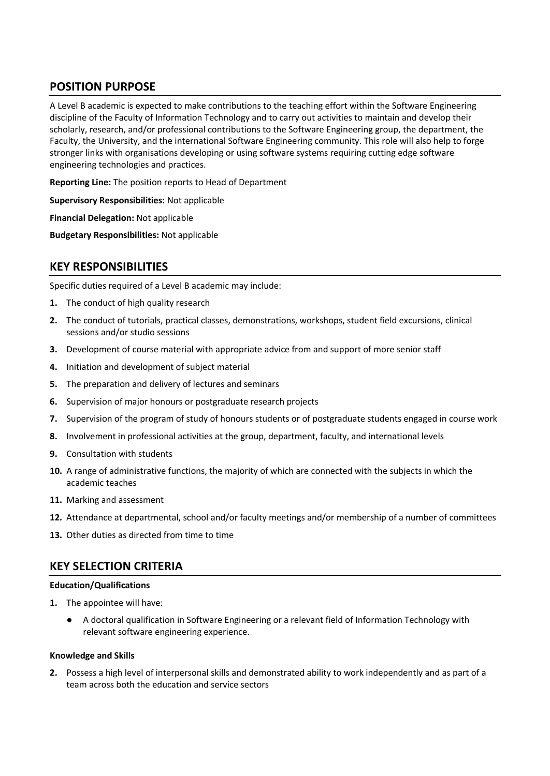# **POSITION PURPOSE**

A Level B academic is expected to make contributions to the teaching effort within the Software Engineering discipline of the Faculty of Information Technology and to carry out activities to maintain and develop their scholarly, research, and/or professional contributions to the Software Engineering group, the department, the Faculty, the University, and the international Software Engineering community. This role will also help to forge stronger links with organisations developing or using software systems requiring cutting edge software engineering technologies and practices.

**Reporting Line:** The position reports to Head of Department

**Supervisory Responsibilities:** Not applicable

**Financial Delegation:** Not applicable

**Budgetary Responsibilities:** Not applicable

# **KEY RESPONSIBILITIES**

Specific duties required of a Level B academic may include:

- **1.** The conduct of high quality research
- **2.** The conduct of tutorials, practical classes, demonstrations, workshops, student field excursions, clinical sessions and/or studio sessions
- **3.** Development of course material with appropriate advice from and support of more senior staff
- **4.** Initiation and development of subject material
- **5.** The preparation and delivery of lectures and seminars
- **6.** Supervision of major honours or postgraduate research projects
- **7.** Supervision of the program of study of honours students or of postgraduate students engaged in course work
- **8.** Involvement in professional activities at the group, department, faculty, and international levels
- **9.** Consultation with students
- **10.** A range of administrative functions, the majority of which are connected with the subjects in which the academic teaches
- **11.** Marking and assessment
- **12.** Attendance at departmental, school and/or faculty meetings and/or membership of a number of committees
- **13.** Other duties as directed from time to time

## **KEY SELECTION CRITERIA**

### **Education/Qualifications**

- **1.** The appointee will have:
	- A doctoral qualification in Software Engineering or a relevant field of Information Technology with relevant software engineering experience.

### **Knowledge and Skills**

**2.** Possess a high level of interpersonal skills and demonstrated ability to work independently and as part of a team across both the education and service sectors